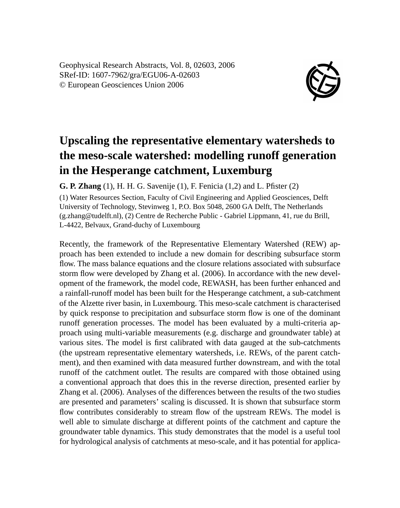Geophysical Research Abstracts, Vol. 8, 02603, 2006 SRef-ID: 1607-7962/gra/EGU06-A-02603 © European Geosciences Union 2006



## **Upscaling the representative elementary watersheds to the meso-scale watershed: modelling runoff generation in the Hesperange catchment, Luxemburg**

**G. P. Zhang** (1), H. H. G. Savenije (1), F. Fenicia (1,2) and L. Pfister (2)

(1) Water Resources Section, Faculty of Civil Engineering and Applied Geosciences, Delft University of Technology, Stevinweg 1, P.O. Box 5048, 2600 GA Delft, The Netherlands (g.zhang@tudelft.nl), (2) Centre de Recherche Public - Gabriel Lippmann, 41, rue du Brill, L-4422, Belvaux, Grand-duchy of Luxembourg

Recently, the framework of the Representative Elementary Watershed (REW) approach has been extended to include a new domain for describing subsurface storm flow. The mass balance equations and the closure relations associated with subsurface storm flow were developed by Zhang et al. (2006). In accordance with the new development of the framework, the model code, REWASH, has been further enhanced and a rainfall-runoff model has been built for the Hesperange catchment, a sub-catchment of the Alzette river basin, in Luxembourg. This meso-scale catchment is characterised by quick response to precipitation and subsurface storm flow is one of the dominant runoff generation processes. The model has been evaluated by a multi-criteria approach using multi-variable measurements (e.g. discharge and groundwater table) at various sites. The model is first calibrated with data gauged at the sub-catchments (the upstream representative elementary watersheds, i.e. REWs, of the parent catchment), and then examined with data measured further downstream, and with the total runoff of the catchment outlet. The results are compared with those obtained using a conventional approach that does this in the reverse direction, presented earlier by Zhang et al. (2006). Analyses of the differences between the results of the two studies are presented and parameters' scaling is discussed. It is shown that subsurface storm flow contributes considerably to stream flow of the upstream REWs. The model is well able to simulate discharge at different points of the catchment and capture the groundwater table dynamics. This study demonstrates that the model is a useful tool for hydrological analysis of catchments at meso-scale, and it has potential for applica